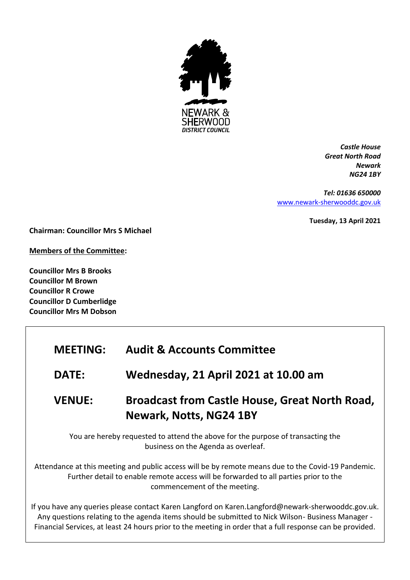

*Castle House Great North Road Newark NG24 1BY*

*Tel: 01636 650000* [www.newark-sherwooddc.gov.uk](http://www.newark-sherwooddc.gov.uk/)

**Tuesday, 13 April 2021**

**Chairman: Councillor Mrs S Michael**

**Members of the Committee:**

**Councillor Mrs B Brooks Councillor M Brown Councillor R Crowe Councillor D Cumberlidge Councillor Mrs M Dobson**

## **MEETING: Audit & Accounts Committee**

**DATE: Wednesday, 21 April 2021 at 10.00 am**

# **VENUE: Broadcast from Castle House, Great North Road, Newark, Notts, NG24 1BY**

You are hereby requested to attend the above for the purpose of transacting the business on the Agenda as overleaf.

Attendance at this meeting and public access will be by remote means due to the Covid-19 Pandemic. Further detail to enable remote access will be forwarded to all parties prior to the commencement of the meeting.

If you have any queries please contact Karen Langford on Karen.Langford@newark-sherwooddc.gov.uk. Any questions relating to the agenda items should be submitted to Nick Wilson- Business Manager - Financial Services, at least 24 hours prior to the meeting in order that a full response can be provided.